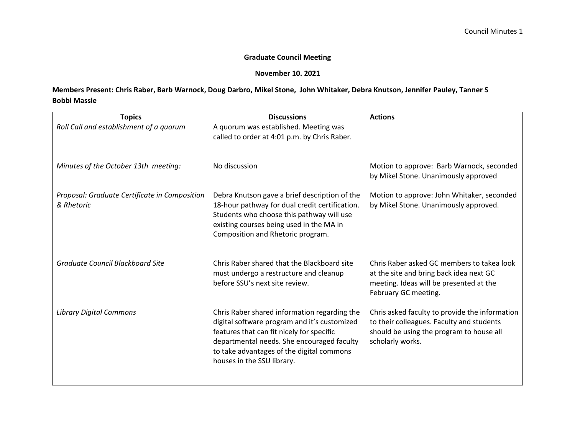## **Graduate Council Meeting**

## **November 10. 2021**

## **Members Present: Chris Raber, Barb Warnock, Doug Darbro, Mikel Stone, John Whitaker, Debra Knutson, Jennifer Pauley, Tanner S Bobbi Massie**

| <b>Topics</b>                                               | <b>Discussions</b>                                                                                                                                                                                                                                                 | <b>Actions</b>                                                                                                                                              |
|-------------------------------------------------------------|--------------------------------------------------------------------------------------------------------------------------------------------------------------------------------------------------------------------------------------------------------------------|-------------------------------------------------------------------------------------------------------------------------------------------------------------|
| Roll Call and establishment of a quorum                     | A quorum was established. Meeting was<br>called to order at 4:01 p.m. by Chris Raber.                                                                                                                                                                              |                                                                                                                                                             |
| Minutes of the October 13th meeting:                        | No discussion                                                                                                                                                                                                                                                      | Motion to approve: Barb Warnock, seconded<br>by Mikel Stone. Unanimously approved                                                                           |
| Proposal: Graduate Certificate in Composition<br>& Rhetoric | Debra Knutson gave a brief description of the<br>18-hour pathway for dual credit certification.<br>Students who choose this pathway will use<br>existing courses being used in the MA in<br>Composition and Rhetoric program.                                      | Motion to approve: John Whitaker, seconded<br>by Mikel Stone. Unanimously approved.                                                                         |
| <b>Graduate Council Blackboard Site</b>                     | Chris Raber shared that the Blackboard site<br>must undergo a restructure and cleanup<br>before SSU's next site review.                                                                                                                                            | Chris Raber asked GC members to takea look<br>at the site and bring back idea next GC<br>meeting. Ideas will be presented at the<br>February GC meeting.    |
| <b>Library Digital Commons</b>                              | Chris Raber shared information regarding the<br>digital software program and it's customized<br>features that can fit nicely for specific<br>departmental needs. She encouraged faculty<br>to take advantages of the digital commons<br>houses in the SSU library. | Chris asked faculty to provide the information<br>to their colleagues. Faculty and students<br>should be using the program to house all<br>scholarly works. |